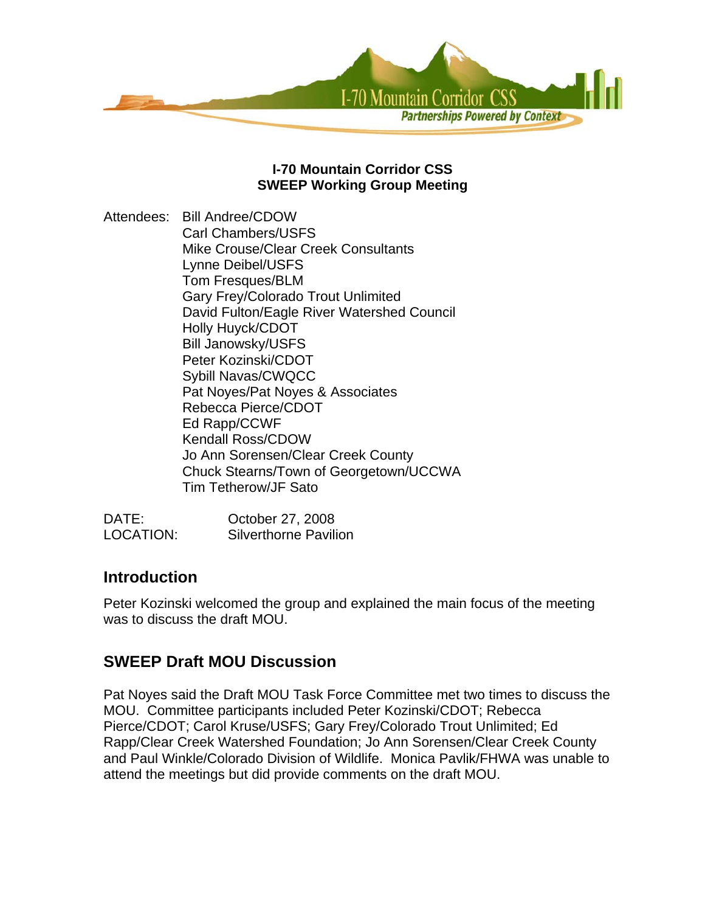

## **I-70 Mountain Corridor CSS SWEEP Working Group Meeting**

Attendees: Bill Andree/CDOW Carl Chambers/USFS Mike Crouse/Clear Creek Consultants Lynne Deibel/USFS Tom Fresques/BLM Gary Frey/Colorado Trout Unlimited David Fulton/Eagle River Watershed Council Holly Huyck/CDOT Bill Janowsky/USFS Peter Kozinski/CDOT Sybill Navas/CWQCC Pat Noyes/Pat Noyes & Associates Rebecca Pierce/CDOT Ed Rapp/CCWF Kendall Ross/CDOW Jo Ann Sorensen/Clear Creek County Chuck Stearns/Town of Georgetown/UCCWA Tim Tetherow/JF Sato

| DATE:     | October 27, 2008             |
|-----------|------------------------------|
| LOCATION: | <b>Silverthorne Pavilion</b> |

# **Introduction**

Peter Kozinski welcomed the group and explained the main focus of the meeting was to discuss the draft MOU.

# **SWEEP Draft MOU Discussion**

Pat Noyes said the Draft MOU Task Force Committee met two times to discuss the MOU. Committee participants included Peter Kozinski/CDOT; Rebecca Pierce/CDOT; Carol Kruse/USFS; Gary Frey/Colorado Trout Unlimited; Ed Rapp/Clear Creek Watershed Foundation; Jo Ann Sorensen/Clear Creek County and Paul Winkle/Colorado Division of Wildlife. Monica Pavlik/FHWA was unable to attend the meetings but did provide comments on the draft MOU.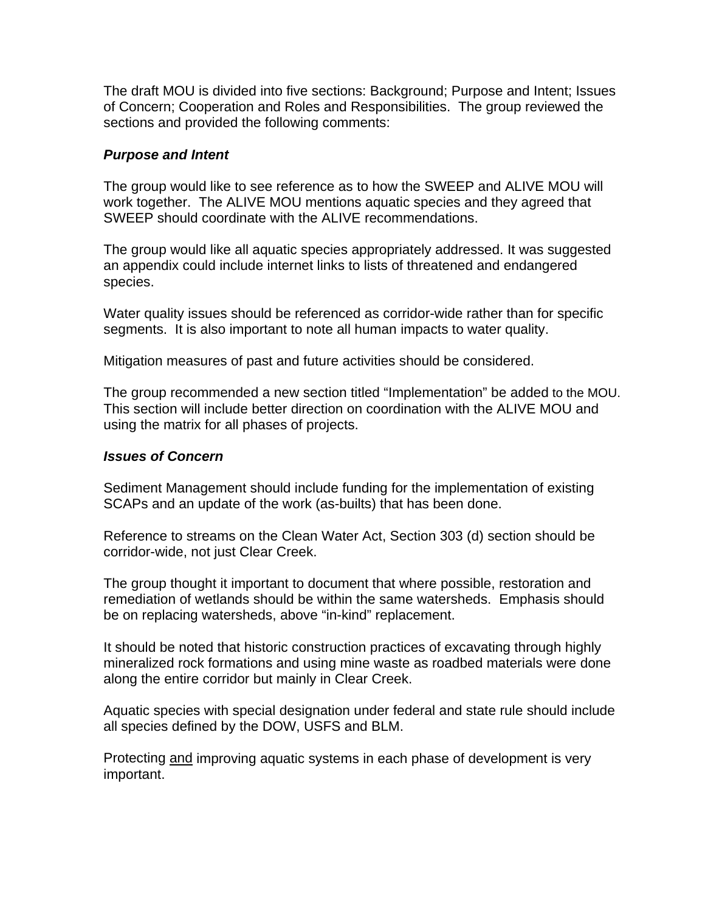The draft MOU is divided into five sections: Background; Purpose and Intent; Issues of Concern; Cooperation and Roles and Responsibilities. The group reviewed the sections and provided the following comments:

### *Purpose and Intent*

The group would like to see reference as to how the SWEEP and ALIVE MOU will work together. The ALIVE MOU mentions aquatic species and they agreed that SWEEP should coordinate with the ALIVE recommendations.

The group would like all aquatic species appropriately addressed. It was suggested an appendix could include internet links to lists of threatened and endangered species.

Water quality issues should be referenced as corridor-wide rather than for specific segments. It is also important to note all human impacts to water quality.

Mitigation measures of past and future activities should be considered.

The group recommended a new section titled "Implementation" be added to the MOU. This section will include better direction on coordination with the ALIVE MOU and using the matrix for all phases of projects.

#### *Issues of Concern*

Sediment Management should include funding for the implementation of existing SCAPs and an update of the work (as-builts) that has been done.

Reference to streams on the Clean Water Act, Section 303 (d) section should be corridor-wide, not just Clear Creek.

The group thought it important to document that where possible, restoration and remediation of wetlands should be within the same watersheds. Emphasis should be on replacing watersheds, above "in-kind" replacement.

It should be noted that historic construction practices of excavating through highly mineralized rock formations and using mine waste as roadbed materials were done along the entire corridor but mainly in Clear Creek.

Aquatic species with special designation under federal and state rule should include all species defined by the DOW, USFS and BLM.

Protecting and improving aquatic systems in each phase of development is very important.